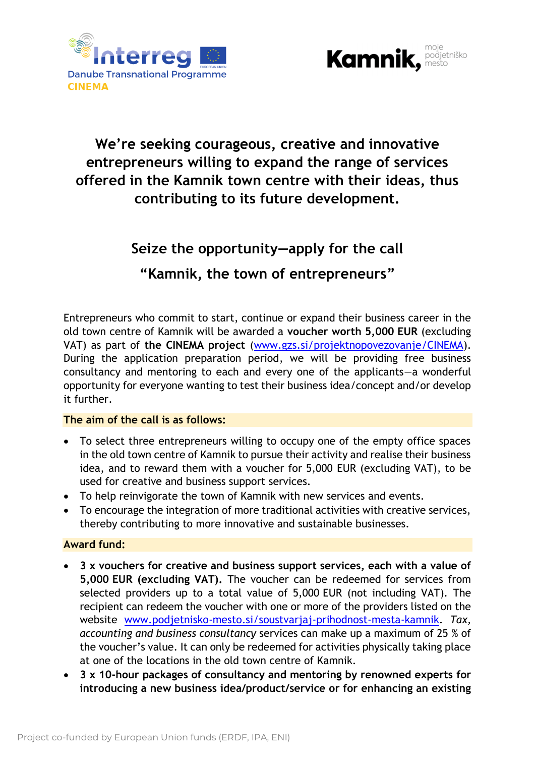



## **We're seeking courageous, creative and innovative entrepreneurs willing to expand the range of services offered in the Kamnik town centre with their ideas, thus contributing to its future development.**

## **Seize the opportunity—apply for the call**

### **"Kamnik, the town of entrepreneurs"**

Entrepreneurs who commit to start, continue or expand their business career in the old town centre of Kamnik will be awarded a **voucher worth 5,000 EUR** (excluding VAT) as part of **the CINEMA project** [\(www.gzs.si/projektnopovezovanje/CINEMA\)](http://www.gzs.si/projektnopovezovanje/CINEMA). During the application preparation period, we will be providing free business consultancy and mentoring to each and every one of the applicants—a wonderful opportunity for everyone wanting to test their business idea/concept and/or develop it further.

#### **The aim of the call is as follows:**

- To select three entrepreneurs willing to occupy one of the empty office spaces in the old town centre of Kamnik to pursue their activity and realise their business idea, and to reward them with a voucher for 5,000 EUR (excluding VAT), to be used for creative and business support services.
- To help reinvigorate the town of Kamnik with new services and events.
- To encourage the integration of more traditional activities with creative services, thereby contributing to more innovative and sustainable businesses.

#### **Award fund:**

- **3 x vouchers for creative and business support services, each with a value of 5,000 EUR (excluding VAT).** The voucher can be redeemed for services from selected providers up to a total value of 5,000 EUR (not including VAT). The recipient can redeem the voucher with one or more of the providers listed on the website [www.podjetnisko-mesto.si/soustvarjaj-prihodnost-mesta-kamnik.](http://www.podjetnisko-mesto.si/soustvarjaj-prihodnost-mesta-kamnik) *Tax, accounting and business consultancy* services can make up a maximum of 25 % of the voucher's value. It can only be redeemed for activities physically taking place at one of the locations in the old town centre of Kamnik.
- **3 x 10-hour packages of consultancy and mentoring by renowned experts for introducing a new business idea/product/service or for enhancing an existing**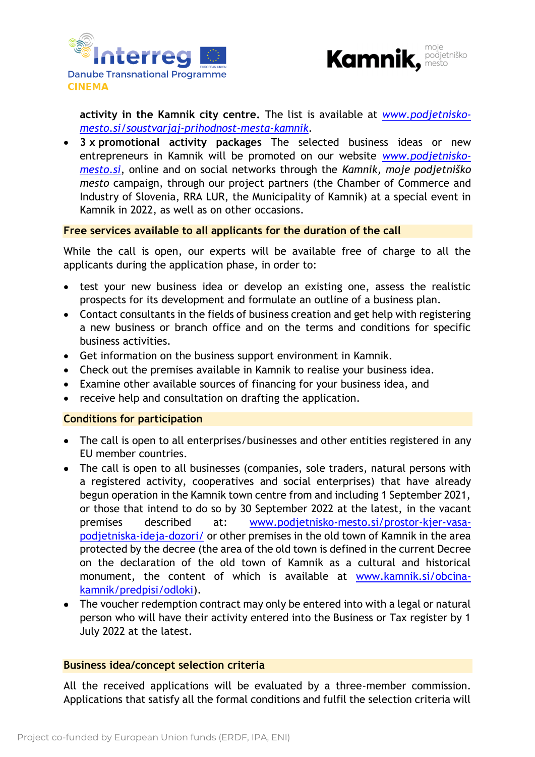



**activity in the Kamnik city centre.** The list is available at *[www.podjetnisko](http://www.podjetnisko-mesto.si/soustvarjaj-prihodnost-mesta-kamnik)[mesto.si/soustvarjaj-prihodnost-mesta-kamnik.](http://www.podjetnisko-mesto.si/soustvarjaj-prihodnost-mesta-kamnik)*

• **3 x promotional activity packages** The selected business ideas or new entrepreneurs in Kamnik will be promoted on our website *[www.podjetnisko](http://www.podjetnisko-mesto.si/)[mesto.si](http://www.podjetnisko-mesto.si/)*, online and on social networks through the *Kamnik, moje podjetniško mesto* campaign, through our project partners (the Chamber of Commerce and Industry of Slovenia, RRA LUR, the Municipality of Kamnik) at a special event in Kamnik in 2022, as well as on other occasions.

#### **Free services available to all applicants for the duration of the call**

While the call is open, our experts will be available free of charge to all the applicants during the application phase, in order to:

- test your new business idea or develop an existing one, assess the realistic prospects for its development and formulate an outline of a business plan.
- Contact consultants in the fields of business creation and get help with registering a new business or branch office and on the terms and conditions for specific business activities.
- Get information on the business support environment in Kamnik.
- Check out the premises available in Kamnik to realise your business idea.
- Examine other available sources of financing for your business idea, and
- receive help and consultation on drafting the application.

#### **Conditions for participation**

- The call is open to all enterprises/businesses and other entities registered in any EU member countries.
- The call is open to all businesses (companies, sole traders, natural persons with a registered activity, cooperatives and social enterprises) that have already begun operation in the Kamnik town centre from and including 1 September 2021, or those that intend to do so by 30 September 2022 at the latest, in the vacant premises described at: [www.podjetnisko-mesto.si/prostor-kjer-vasa](http://www.podjetnisko-mesto.si/prostor-kjer-vasa-podjetniska-ideja-dozori/)[podjetniska-ideja-dozori/](http://www.podjetnisko-mesto.si/prostor-kjer-vasa-podjetniska-ideja-dozori/) or other premises in the old town of Kamnik in the area protected by the decree (the area of the old town is defined in the current Decree on the declaration of the old town of Kamnik as a cultural and historical monument, the content of which is available at [www.kamnik.si/obcina](http://www.kamnik.si/obcina-kamnik/predpisi/odloki)[kamnik/predpisi/odloki\)](http://www.kamnik.si/obcina-kamnik/predpisi/odloki).
- The voucher redemption contract may only be entered into with a legal or natural person who will have their activity entered into the Business or Tax register by 1 July 2022 at the latest.

#### **Business idea/concept selection criteria**

All the received applications will be evaluated by a three-member commission. Applications that satisfy all the formal conditions and fulfil the selection criteria will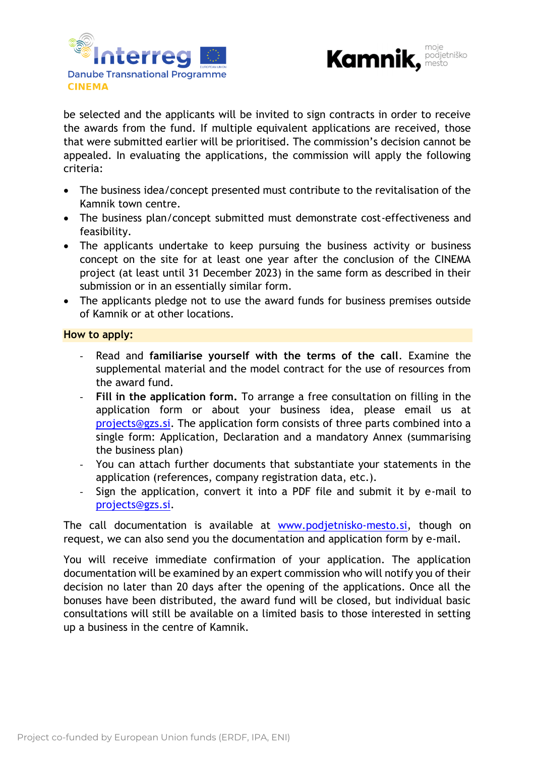



be selected and the applicants will be invited to sign contracts in order to receive the awards from the fund. If multiple equivalent applications are received, those that were submitted earlier will be prioritised. The commission's decision cannot be appealed. In evaluating the applications, the commission will apply the following criteria:

- The business idea/concept presented must contribute to the revitalisation of the Kamnik town centre.
- The business plan/concept submitted must demonstrate cost-effectiveness and feasibility.
- The applicants undertake to keep pursuing the business activity or business concept on the site for at least one year after the conclusion of the CINEMA project (at least until 31 December 2023) in the same form as described in their submission or in an essentially similar form.
- The applicants pledge not to use the award funds for business premises outside of Kamnik or at other locations.

#### **How to apply:**

- Read and **familiarise yourself with the terms of the call**. Examine the supplemental material and the model contract for the use of resources from the award fund.
- **Fill in the application form.** To arrange a free consultation on filling in the application form or about your business idea, please email us at [projects@gzs.si.](mailto:projects@gzs.si) The application form consists of three parts combined into a single form: Application, Declaration and a mandatory Annex (summarising the business plan)
- You can attach further documents that substantiate your statements in the application (references, company registration data, etc.).
- Sign the application, convert it into a PDF file and submit it by e-mail to [projects@gzs.si.](mailto:projects@gzs.si)

The call documentation is available at [www.podjetnisko-mesto.si,](http://www.podjetnisko-mesto.si/) though on request, we can also send you the documentation and application form by e-mail.

You will receive immediate confirmation of your application. The application documentation will be examined by an expert commission who will notify you of their decision no later than 20 days after the opening of the applications. Once all the bonuses have been distributed, the award fund will be closed, but individual basic consultations will still be available on a limited basis to those interested in setting up a business in the centre of Kamnik.